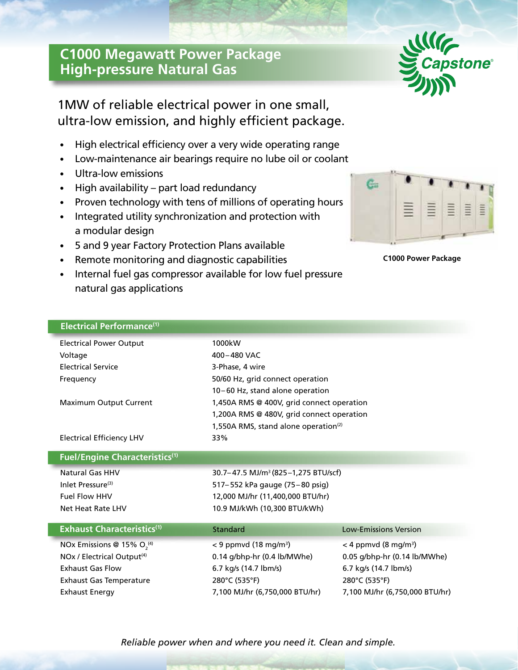## **C1000 Megawatt Power Package High-pressure Natural Gas**



1MW of reliable electrical power in one small, ultra-low emission, and highly efficient package.

- High electrical efficiency over a very wide operating range
- Low-maintenance air bearings require no lube oil or coolant
- Ultra-low emissions
- High availability part load redundancy
- Proven technology with tens of millions of operating hours
- Integrated utility synchronization and protection with a modular design
- 5 and 9 year Factory Protection Plans available
- Remote monitoring and diagnostic capabilities
- Internal fuel gas compressor available for low fuel pressure natural gas applications



**C1000 Power Package**

| Electrical Performance <sup>(1)</sup>  |                                                  |                                    |
|----------------------------------------|--------------------------------------------------|------------------------------------|
| <b>Electrical Power Output</b>         | 1000kW                                           |                                    |
| Voltage                                | 400-480 VAC                                      |                                    |
| <b>Electrical Service</b>              | 3-Phase, 4 wire                                  |                                    |
| Frequency                              | 50/60 Hz, grid connect operation                 |                                    |
|                                        | 10-60 Hz, stand alone operation                  |                                    |
| Maximum Output Current                 | 1,450A RMS @ 400V, grid connect operation        |                                    |
|                                        | 1,200A RMS @ 480V, grid connect operation        |                                    |
|                                        | 1,550A RMS, stand alone operation <sup>(2)</sup> |                                    |
| <b>Electrical Efficiency LHV</b>       | 33%                                              |                                    |
| <b>Fuel/Engine Characteristics(1)</b>  |                                                  |                                    |
| <b>Natural Gas HHV</b>                 | 30.7-47.5 MJ/m <sup>3</sup> (825-1,275 BTU/scf)  |                                    |
| Inlet Pressure <sup>(3)</sup>          | 517-552 kPa gauge (75-80 psig)                   |                                    |
| <b>Fuel Flow HHV</b>                   | 12,000 MJ/hr (11,400,000 BTU/hr)                 |                                    |
| Net Heat Rate LHV                      | 10.9 MJ/kWh (10,300 BTU/kWh)                     |                                    |
| <b>Exhaust Characteristics(1)</b>      | Standard                                         | <b>Low-Emissions Version</b>       |
| NOx Emissions @ 15% $O2(4)$            | $<$ 9 ppmvd (18 mg/m <sup>3</sup> )              | $<$ 4 ppmvd (8 mg/m <sup>3</sup> ) |
| NOx / Electrical Output <sup>(4)</sup> | 0.14 g/bhp-hr (0.4 lb/MWhe)                      | 0.05 g/bhp-hr (0.14 lb/MWhe)       |
| <b>Exhaust Gas Flow</b>                | 6.7 kg/s (14.7 lbm/s)                            | 6.7 kg/s (14.7 lbm/s)              |
| <b>Exhaust Gas Temperature</b>         | 280°C (535°F)                                    | 280°C (535°F)                      |
| <b>Exhaust Energy</b>                  | 7,100 MJ/hr (6,750,000 BTU/hr)                   | 7,100 MJ/hr (6,750,000 BTU/hr)     |

*Reliable power when and where you need it. Clean and simple.*